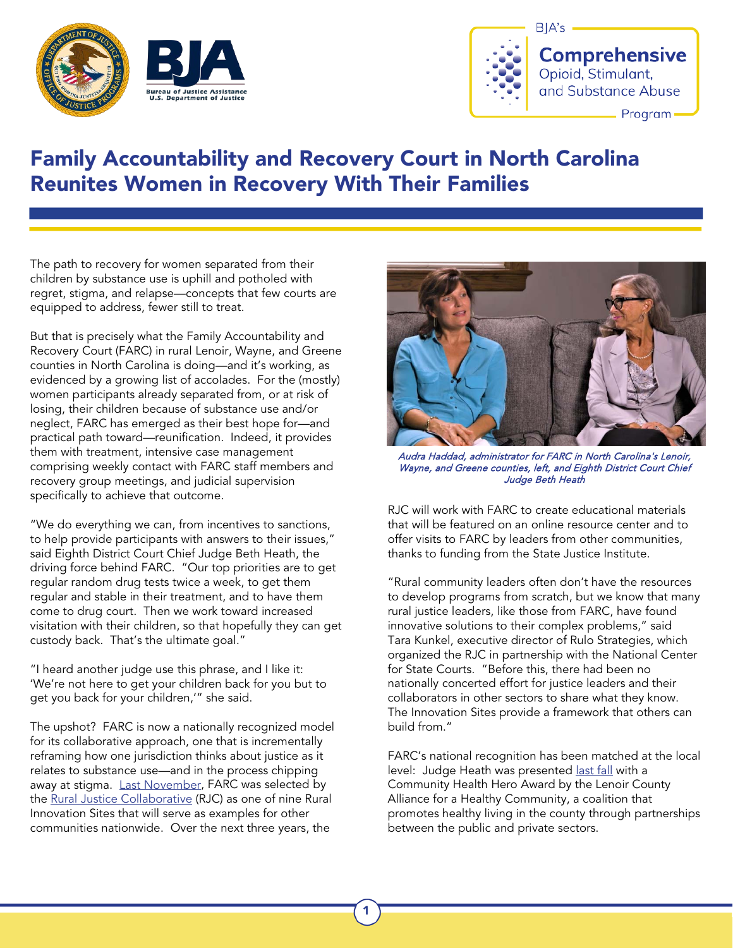



## Family Accountability and Recovery Court in North Carolina Reunites Women in Recovery With Their Families

The path to recovery for women separated from their children by substance use is uphill and potholed with regret, stigma, and relapse—concepts that few courts are equipped to address, fewer still to treat.

But that is precisely what the Family Accountability and Recovery Court (FARC) in rural Lenoir, Wayne, and Greene counties in North Carolina is doing—and it's working, as evidenced by a growing list of accolades. For the (mostly) women participants already separated from, or at risk of losing, their children because of substance use and/or neglect, FARC has emerged as their best hope for—and practical path toward—reunification. Indeed, it provides them with treatment, intensive case management comprising weekly contact with FARC staff members and recovery group meetings, and judicial supervision specifically to achieve that outcome.

"We do everything we can, from incentives to sanctions, to help provide participants with answers to their issues," said Eighth District Court Chief Judge Beth Heath, the driving force behind FARC. "Our top priorities are to get regular random drug tests twice a week, to get them regular and stable in their treatment, and to have them come to drug court. Then we work toward increased visitation with their children, so that hopefully they can get custody back. That's the ultimate goal."

"I heard another judge use this phrase, and I like it: 'We're not here to get your children back for you but to get you back for your children,'" she said.

The upshot? FARC is now a nationally recognized model for its collaborative approach, one that is incrementally reframing how one jurisdiction thinks about justice as it relates to substance use—and in the process chipping away at stigma. [Last November,](https://www.neusenews.com/index/2021/11/4/lenoir-wayne-and-greene-counties-family-accountability-and-recovery-court-program-named-one-of-the-best-in-the-nation-5Gr8m) FARC was selected by the [Rural Justice Collaborative](https://lnks.gd/l/eyJhbGciOiJIUzI1NiJ9.eyJidWxsZXRpbl9saW5rX2lkIjoxMDMsInVyaSI6ImJwMjpjbGljayIsImJ1bGxldGluX2lkIjoiMjAyMTExMDQuNDgzOTI4MjEiLCJ1cmwiOiJodHRwczovL3d3dy5ydXJhbGp1c3RpY2Vjb2xsYWJvcmF0aXZlLm9yZy8ifQ.XW8mDOiX00siZ_1JAj8-YBtYCjXkWA4oYT-wuVZWJ9g/s/1366138432/br/117791841907-l) (RJC) as one of nine Rural Innovation Sites that will serve as examples for other communities nationwide. Over the next three years, the



Audra Haddad, administrator for FARC in North Carolina's Lenoir, Wayne, and Greene counties, left, and Eighth District Court Chief Judge Beth Heath

RJC will work with FARC to create educational materials that will be featured on an online resource center and to offer visits to FARC by leaders from other communities, thanks to funding from the State Justice Institute.

"Rural community leaders often don't have the resources to develop programs from scratch, but we know that many rural justice leaders, like those from FARC, have found innovative solutions to their complex problems," said Tara Kunkel, executive director of Rulo Strategies, which organized the RJC in partnership with the National Center for State Courts. "Before this, there had been no nationally concerted effort for justice leaders and their collaborators in other sectors to share what they know. The Innovation Sites provide a framework that others can build from."

FARC's national recognition has been matched at the local level: Judge Heath was presented [last fall](https://www.neusenews.com/index/2021/10/29/judge-beth-heath-presented-with-community-hero-award) with a Community Health Hero Award by the Lenoir County Alliance for a Healthy Community, a coalition that promotes healthy living in the county through partnerships between the public and private sectors.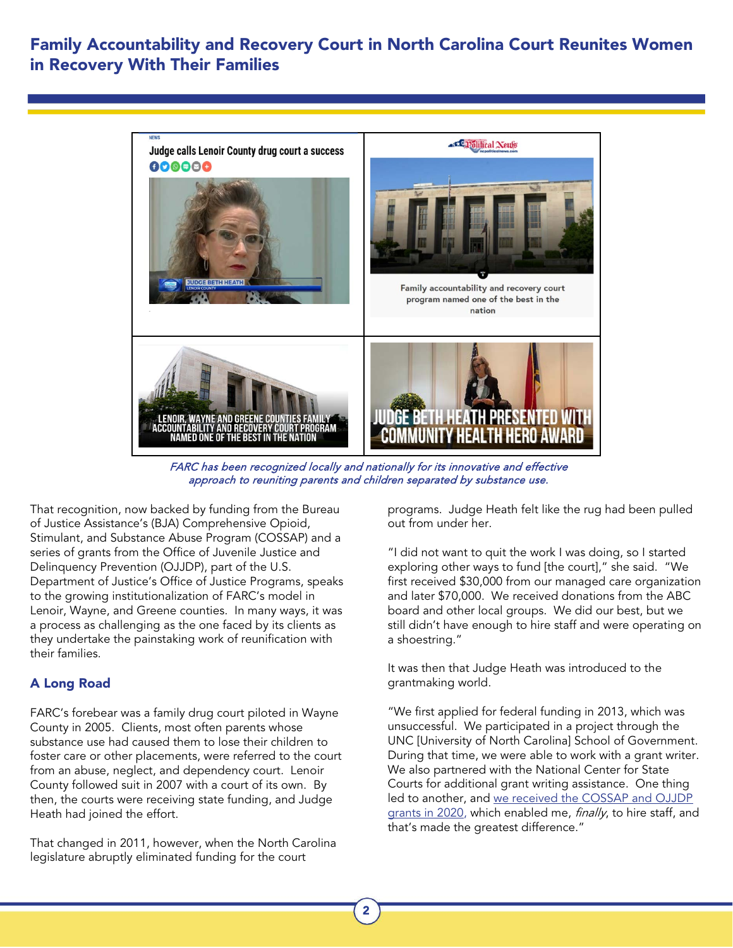## Family Accountability and Recovery Court in North Carolina Court Reunites Women in Recovery With Their Families



FARC has been recognized locally and nationally for its innovative and effective approach to reuniting parents and children separated by substance use.

That recognition, now backed by funding from the Bureau of Justice Assistance's (BJA) Comprehensive Opioid, Stimulant, and Substance Abuse Program (COSSAP) and a series of grants from the Office of Juvenile Justice and Delinquency Prevention (OJJDP), part of the U.S. Department of Justice's Office of Justice Programs, speaks to the growing institutionalization of FARC's model in Lenoir, Wayne, and Greene counties. In many ways, it was a process as challenging as the one faced by its clients as they undertake the painstaking work of reunification with their families.

## A Long Road

FARC's forebear was a family drug court piloted in Wayne County in 2005. Clients, most often parents whose substance use had caused them to lose their children to foster care or other placements, were referred to the court from an abuse, neglect, and dependency court. Lenoir County followed suit in 2007 with a court of its own. By then, the courts were receiving state funding, and Judge Heath had joined the effort.

That changed in 2011, however, when the North Carolina legislature abruptly eliminated funding for the court

programs. Judge Heath felt like the rug had been pulled out from under her.

"I did not want to quit the work I was doing, so I started exploring other ways to fund [the court]," she said. "We first received \$30,000 from our managed care organization and later \$70,000. We received donations from the ABC board and other local groups. We did our best, but we still didn't have enough to hire staff and were operating on a shoestring."

It was then that Judge Heath was introduced to the grantmaking world.

"We first applied for federal funding in 2013, which was unsuccessful. We participated in a project through the UNC [University of North Carolina] School of Government. During that time, we were able to work with a grant writer. We also partnered with the National Center for State Courts for additional grant writing assistance. One thing led to another, and we received [the COSSAP and OJJDP](https://www.neusenews.com/index/2021/3/16/drug-court-gets-a-new-lease-with-program-grants?fbclid=IwAR2F4aLsIHPm7g0i66H2UEidXlrZfosYRAySnZhYuSEeTZYhjuny62QelI8)  [grants in 2020,](https://www.neusenews.com/index/2021/3/16/drug-court-gets-a-new-lease-with-program-grants?fbclid=IwAR2F4aLsIHPm7g0i66H2UEidXlrZfosYRAySnZhYuSEeTZYhjuny62QelI8) which enabled me, finally, to hire staff, and that's made the greatest difference."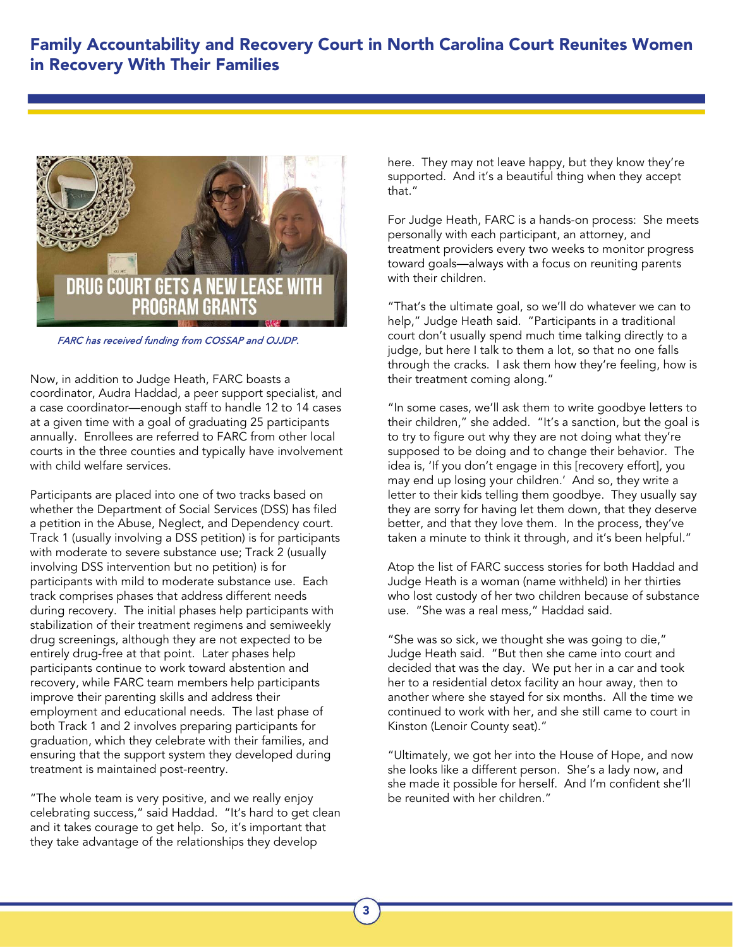

FARC has received funding from COSSAP and OJJDP.

Now, in addition to Judge Heath, FARC boasts a coordinator, Audra Haddad, a peer support specialist, and a case coordinator—enough staff to handle 12 to 14 cases at a given time with a goal of graduating 25 participants annually. Enrollees are referred to FARC from other local courts in the three counties and typically have involvement with child welfare services.

Participants are placed into one of two tracks based on whether the Department of Social Services (DSS) has filed a petition in the Abuse, Neglect, and Dependency court. Track 1 (usually involving a DSS petition) is for participants with moderate to severe substance use; Track 2 (usually involving DSS intervention but no petition) is for participants with mild to moderate substance use. Each track comprises phases that address different needs during recovery. The initial phases help participants with stabilization of their treatment regimens and semiweekly drug screenings, although they are not expected to be entirely drug-free at that point. Later phases help participants continue to work toward abstention and recovery, while FARC team members help participants improve their parenting skills and address their employment and educational needs. The last phase of both Track 1 and 2 involves preparing participants for graduation, which they celebrate with their families, and ensuring that the support system they developed during treatment is maintained post-reentry.

"The whole team is very positive, and we really enjoy celebrating success," said Haddad. "It's hard to get clean and it takes courage to get help. So, it's important that they take advantage of the relationships they develop

here. They may not leave happy, but they know they're supported. And it's a beautiful thing when they accept that."

For Judge Heath, FARC is a hands-on process: She meets personally with each participant, an attorney, and treatment providers every two weeks to monitor progress toward goals—always with a focus on reuniting parents with their children.

"That's the ultimate goal, so we'll do whatever we can to help," Judge Heath said. "Participants in a traditional court don't usually spend much time talking directly to a judge, but here I talk to them a lot, so that no one falls through the cracks. I ask them how they're feeling, how is their treatment coming along."

"In some cases, we'll ask them to write goodbye letters to their children," she added. "It's a sanction, but the goal is to try to figure out why they are not doing what they're supposed to be doing and to change their behavior. The idea is, 'If you don't engage in this [recovery effort], you may end up losing your children.' And so, they write a letter to their kids telling them goodbye. They usually say they are sorry for having let them down, that they deserve better, and that they love them. In the process, they've taken a minute to think it through, and it's been helpful."

Atop the list of FARC success stories for both Haddad and Judge Heath is a woman (name withheld) in her thirties who lost custody of her two children because of substance use. "She was a real mess," Haddad said.

"She was so sick, we thought she was going to die," Judge Heath said. "But then she came into court and decided that was the day. We put her in a car and took her to a residential detox facility an hour away, then to another where she stayed for six months. All the time we continued to work with her, and she still came to court in Kinston (Lenoir County seat)."

"Ultimately, we got her into the House of Hope, and now she looks like a different person. She's a lady now, and she made it possible for herself. And I'm confident she'll be reunited with her children."